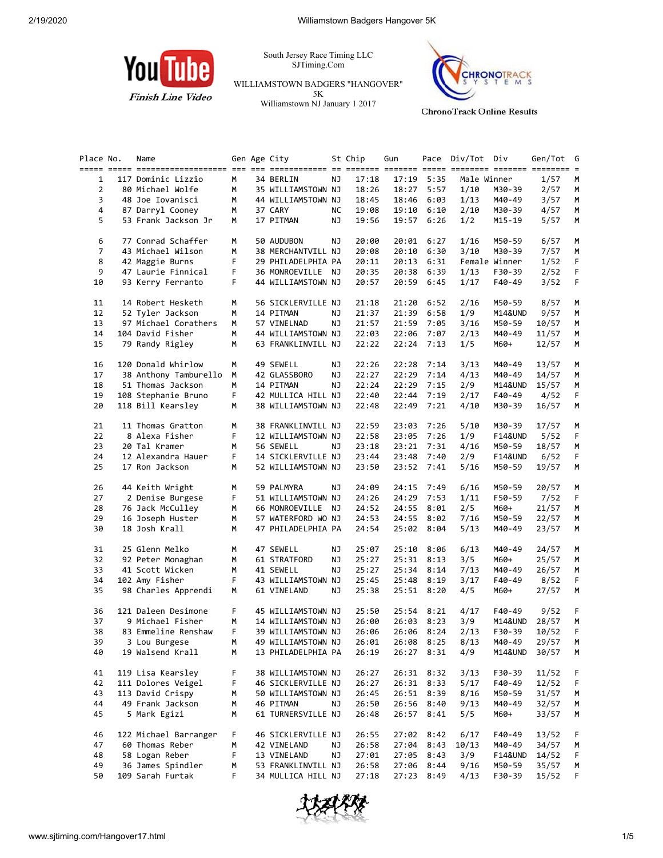

South Jersey Race Timing LLC SJTiming.Com

WILLIAMSTOWN BADGERS "HANGOVER" 5K Williamstown NJ January 1 2017



Place No. Name 6en Age City 5t Chip Gun Pace Div/Tot Div Gen/Tot G ===== ===== =================== === === ============ == ======= ======= ===== ======== ======= ======== = 1 117 Dominic Lizzio M 34 BERLIN NJ 17:18 17:19 5:35 Male Winner 1/57 M 2 80 Michael Wolfe M 35 WILLIAMSTOWN NJ 18:26 18:27 5:57 1/10 M30-39 2/57 M 3 48 Joe Iovanisci M 44 WILLIAMSTOWN NJ 18:45 18:46 6:03 1/13 M40-49 3/57 M 4 87 Darryl Cooney M 37 CARY NC 19:08 19:10 6:10 2/10 M30-39 4/57 M 5 53 Frank Jackson Jr M 17 PITMAN NJ 19:56 19:57 6:26 1/2 M15-19 5/57 M 6 77 Conrad Schaffer M 50 AUDUBON NJ 20:00 20:01 6:27 1/16 M50-59 6/57 M 7 43 Michael Wilson M 38 MERCHANTVILL NJ 20:08 20:10 6:30 3/10 M30-39 7/57 M 8 42 Maggie Burns F 29 PHILADELPHIA PA 20:11 20:13 6:31 Female Winner 1/52 F 9 47 Laurie Finnical F 36 MONROEVILLE NJ 20:35 20:38 6:39 1/13 F30-39 2/52 F 10 93 Kerry Ferranto F 44 WILLIAMSTOWN NJ 20:57 20:59 6:45 1/17 F40-49 3/52 F 11 14 Robert Hesketh M 56 SICKLERVILLE NJ 21:18 21:20 6:52 2/16 M50-59 8/57 M 12 52 Tyler Jackson M 14 PITMAN NJ 21:37 21:39 6:58 1/9 M14&UND 9/57 M 13 97 Michael Corathers M 57 VINELNAD NJ 21:57 21:59 7:05 3/16 M50-59 10/57 M 14 104 David Fisher M 44 WILLIAMSTOWN NJ 22:03 22:06 7:07 2/13 M40-49 11/57 M 15 79 Randy Rigley M 63 FRANKLINVILL NJ 22:22 22:24 7:13 1/5 M60+ 12/57 M 16 120 Donald Whirlow M 49 SEWELL NJ 22:26 22:28 7:14 3/13 M40-49 13/57 M 17 38 Anthony Tamburello M 42 GLASSBORO NJ 22:27 22:29 7:14 4/13 M40-49 14/57 M 18 51 Thomas Jackson M 14 PITMAN NJ 22:24 22:29 7:15 2/9 M14&UND 15/57 M 19 108 Stephanie Bruno F 42 MULLICA HILL NJ 22:40 22:44 7:19 2/17 F40-49 4/52 F 20 118 Bill Kearsley M 38 WILLIAMSTOWN NJ 22:48 22:49 7:21 4/10 M30-39 16/57 M 21 11 Thomas Gratton M 38 FRANKLINVILL NJ 22:59 23:03 7:26 5/10 M30-39 17/57 M 22 8 Alexa Fisher F 12 WILLIAMSTOWN NJ 22:58 23:05 7:26 1/9 F14&UND 5/52 F 23 20 Tal Kramer M 56 SEWELL NJ 23:18 23:21 7:31 4/16 M50-59 18/57 M 24 12 Alexandra Hauer F 14 SICKLERVILLE NJ 23:44 23:48 7:40 2/9 F14&UND 6/52 F 25 17 Ron Jackson M 52 WILLIAMSTOWN NJ 23:50 23:52 7:41 5/16 M50-59 19/57 M 26 44 Keith Wright M 59 PALMYRA NJ 24:09 24:15 7:49 6/16 M50-59 20/57 M 27 2 Denise Burgese F 51 WILLIAMSTOWN NJ 24:26 24:29 7:53 1/11 F50-59 7/52 F 28 76 Jack McCulley M 66 MONROEVILLE NJ 24:52 24:55 8:01 2/5 M60+ 21/57 M 29 16 Joseph Huster M 57 WATERFORD WO NJ 24:53 24:55 8:02 7/16 M50-59 22/57 M 30 18 Josh Krall M 47 PHILADELPHIA PA 24:54 25:02 8:04 5/13 M40-49 23/57 M 31 25 Glenn Melko M 47 SEWELL NJ 25:07 25:10 8:06 6/13 M40-49 24/57 M 32 92 Peter Monaghan M 61 STRATFORD NJ 25:27 25:31 8:13 3/5 M60+ 25/57 M 33 41 Scott Wicken M 41 SEWELL NJ 25:27 25:34 8:14 7/13 M40-49 26/57 M 34 102 Amy Fisher F 43 WILLIAMSTOWN NJ 25:45 25:48 8:19 3/17 F40-49 8/52 F 35 98 Charles Apprendi M 61 VINELAND NJ 25:38 25:51 8:20 4/5 M60+ 27/57 M 36 121 Daleen Desimone F 45 WILLIAMSTOWN NJ 25:50 25:54 8:21 4/17 F40-49 9/52 F 37 9 Michael Fisher M 14 WILLIAMSTOWN NJ 26:00 26:03 8:23 3/9 M14&UND 28/57 M 38 83 Emmeline Renshaw F 39 WILLIAMSTOWN NJ 26:06 26:06 8:24 2/13 F30-39 10/52 F 39 3 Lou Burgese M 49 WILLIAMSTOWN NJ 26:01 26:08 8:25 8/13 M40-49 29/57 M 40 19 Walsend Krall M 13 PHILADELPHIA PA 26:19 26:27 8:31 4/9 M14&UND 30/57 M 41 119 Lisa Kearsley F 38 WILLIAMSTOWN NJ 26:27 26:31 8:32 3/13 F30-39 11/52 F 42 111 Dolores Veigel F 46 SICKLERVILLE NJ 26:27 26:31 8:33 5/17 F40-49 12/52 F 43 113 David Crispy M 50 WILLIAMSTOWN NJ 26:45 26:51 8:39 8/16 M50-59 31/57 M 44 49 Frank Jackson M 46 PITMAN NJ 26:50 26:56 8:40 9/13 M40-49 32/57 M 45 5 Mark Egizi M 61 TURNERSVILLE NJ 26:48 26:57 8:41 5/5 M60+ 33/57 M 46 122 Michael Barranger F 46 SICKLERVILLE NJ 26:55 27:02 8:42 6/17 F40-49 13/52 F 47 60 Thomas Reber M 42 VINELAND NJ 26:58 27:04 8:43 10/13 M40-49 34/57 M 48 58 Logan Reber F 13 VINELAND NJ 27:01 27:05 8:43 3/9 F14&UND 14/52 F 49 36 James Spindler M 53 FRANKLINVILL NJ 26:58 27:06 8:44 9/16 M50-59 35/57 M 50 109 Sarah Furtak F 34 MULLICA HILL NJ 27:18 27:23 8:49 4/13 F30-39 15/52 F

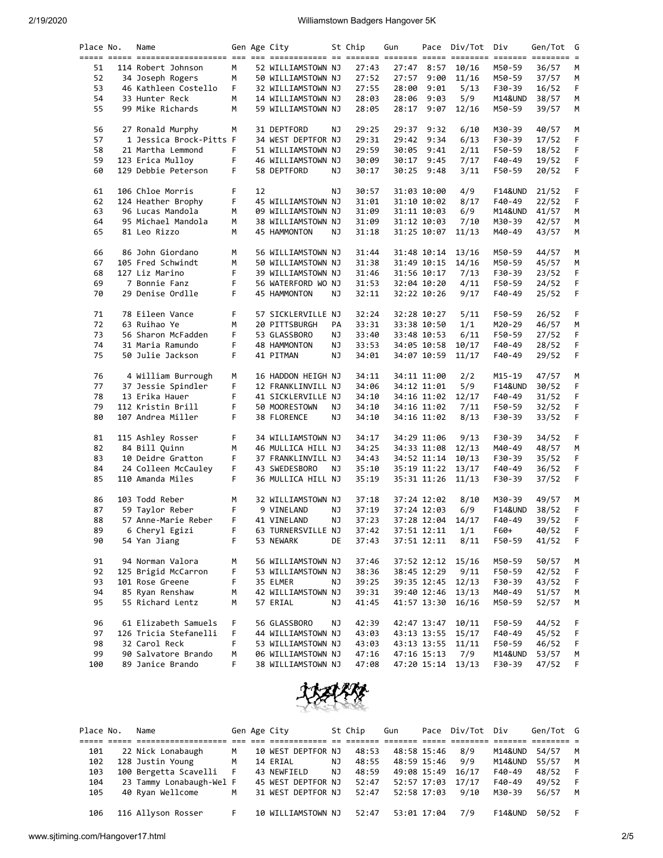2/19/2020 Williamstown Badgers Hangover 5K

| Place No. | Name                    |    |    | Gen Age City       |    | St Chip | Gun   |             | Pace Div/Tot Div  |                    | Gen/Tot G |             |
|-----------|-------------------------|----|----|--------------------|----|---------|-------|-------------|-------------------|--------------------|-----------|-------------|
| 51        | 114 Robert Johnson      | M  |    | 52 WILLIAMSTOWN NJ |    | 27:43   |       | 27:47 8:57  | 10/16             | M50-59             | 36/57     | М           |
| 52        | 34 Joseph Rogers        | М  |    | 50 WILLIAMSTOWN NJ |    | 27:52   | 27:57 | 9:00        | 11/16             | M50-59             | 37/57     | M           |
| 53        | 46 Kathleen Costello    | F. |    | 32 WILLIAMSTOWN NJ |    | 27:55   | 28:00 | 9:01        | 5/13              | F30-39             | 16/52     | F.          |
| 54        | 33 Hunter Reck          | M  |    | 14 WILLIAMSTOWN NJ |    | 28:03   | 28:06 | 9:03        | 5/9               | M14&UND            | 38/57     | M           |
| 55        | 99 Mike Richards        | М  |    | 59 WILLIAMSTOWN NJ |    | 28:05   | 28:17 | 9:07        | 12/16             | M50-59             | 39/57     | М           |
|           |                         |    |    |                    |    |         |       |             |                   |                    |           |             |
| 56        | 27 Ronald Murphy        | М  |    | 31 DEPTFORD        | ΝJ | 29:25   |       | 29:37 9:32  | 6/10              | M30-39             | 40/57     | M           |
| 57        | 1 Jessica Brock-Pitts F |    |    | 34 WEST DEPTFOR NJ |    | 29:31   | 29:42 | 9:34        | 6/13              | F30-39             | 17/52     | F           |
| 58        | 21 Martha Lemmond       | F. |    | 51 WILLIAMSTOWN NJ |    | 29:59   | 30:05 | 9:41        | 2/11              | F50-59             | 18/52     | F           |
| 59        | 123 Erica Mulloy        | F. |    | 46 WILLIAMSTOWN NJ |    | 30:09   | 30:17 | 9:45        | 7/17              | F40-49             | 19/52     | F.          |
| 60        | 129 Debbie Peterson     | F. |    | 58 DEPTFORD        | ΝJ | 30:17   |       | 30:25 9:48  | 3/11              | F50-59             | 20/52     | F           |
| 61        | 106 Chloe Morris        | F. | 12 |                    | ΝJ | 30:57   |       | 31:03 10:00 | 4/9               | F14&UND            | 21/52     | F           |
| 62        | 124 Heather Brophy      | F  |    | 45 WILLIAMSTOWN NJ |    | 31:01   |       | 31:10 10:02 | 8/17              | F40-49             | 22/52     | F           |
| 63        | 96 Lucas Mandola        | М  |    | 09 WILLIAMSTOWN NJ |    | 31:09   |       | 31:11 10:03 | 6/9               | M14&UND            | 41/57     | M           |
| 64        | 95 Michael Mandola      | М  |    | 38 WILLIAMSTOWN NJ |    | 31:09   |       | 31:12 10:03 | 7/10              | M30-39             | 42/57     | М           |
| 65        | 81 Leo Rizzo            | М  |    | 45 HAMMONTON       | ΝJ | 31:18   |       | 31:25 10:07 | 11/13             | M40-49             | 43/57     | M           |
| 66        | 86 John Giordano        | М  |    | 56 WILLIAMSTOWN NJ |    | 31:44   |       | 31:48 10:14 | 13/16             | M50-59             | 44/57     | М           |
| 67        | 105 Fred Schwindt       | М  |    | 50 WILLIAMSTOWN NJ |    | 31:38   |       | 31:49 10:15 | 14/16             | M50-59             | 45/57     | M           |
| 68        | 127 Liz Marino          | F  |    | 39 WILLIAMSTOWN NJ |    | 31:46   |       | 31:56 10:17 | 7/13              | F30-39             | 23/52     | F           |
| 69        | 7 Bonnie Fanz           | F  |    | 56 WATERFORD WO NJ |    | 31:53   |       | 32:04 10:20 | 4/11              | F50-59             | 24/52     | F.          |
| 70        | 29 Denise Ordlle        | F. |    | 45 HAMMONTON       | ΝJ | 32:11   |       | 32:22 10:26 | 9/17              | F40-49             | 25/52     | F           |
| 71        | 78 Eileen Vance         | F  |    | 57 SICKLERVILLE NJ |    | 32:24   |       | 32:28 10:27 | 5/11              | F50-59             | 26/52     | F           |
| 72        | 63 Ruihao Ye            | М  |    | 20 PITTSBURGH      | PA | 33:31   |       | 33:38 10:50 | 1/1               | M20-29             | 46/57     | M           |
| 73        | 56 Sharon McFadden      | F  |    | 53 GLASSBORO       | ΝJ | 33:40   |       | 33:48 10:53 | 6/11              | F50-59             | 27/52     | F           |
| 74        | 31 Maria Ramundo        | F  |    | 48 HAMMONTON       | ΝJ | 33:53   |       | 34:05 10:58 | 10/17             | F40-49             | 28/52     | F.          |
| 75        | 50 Julie Jackson        | F. |    | 41 PITMAN          | ΝJ | 34:01   |       | 34:07 10:59 | 11/17             | F40-49             | 29/52     | $\mathsf F$ |
|           |                         |    |    |                    |    |         |       |             |                   |                    |           |             |
| 76        | 4 William Burrough      | М  |    | 16 HADDON HEIGH NJ |    | 34:11   |       | 34:11 11:00 | 2/2               | M15-19             | 47/57     | M           |
| 77        | 37 Jessie Spindler      | F. |    | 12 FRANKLINVILL NJ |    | 34:06   |       | 34:12 11:01 | 5/9               | F14&UND            | 30/52     | F           |
| 78        | 13 Erika Hauer          | F  |    | 41 SICKLERVILLE NJ |    | 34:10   |       | 34:16 11:02 | 12/17             | F40-49             | 31/52     | F           |
| 79        | 112 Kristin Brill       | F  |    | 50 MOORESTOWN      | ΝJ | 34:10   |       | 34:16 11:02 | 7/11              | F50-59             | 32/52     | F.          |
| 80        | 107 Andrea Miller       | F. |    | 38 FLORENCE        | ΝJ | 34:10   |       | 34:16 11:02 | 8/13              | F30-39             | 33/52     | F           |
| 81        | 115 Ashley Rosser       | F  |    | 34 WILLIAMSTOWN NJ |    | 34:17   |       | 34:29 11:06 | 9/13              | F30-39             | 34/52     | F           |
| 82        | 84 Bill Quinn           | М  |    | 46 MULLICA HILL NJ |    | 34:25   |       | 34:33 11:08 | 12/13             | M40-49             | 48/57     | M           |
| 83        | 10 Deidre Gratton       | F  |    | 37 FRANKLINVILL NJ |    | 34:43   |       | 34:52 11:14 | 10/13             | F30-39             | 35/52     | F           |
| 84        | 24 Colleen McCauley     | F. |    | 43 SWEDESBORO      | ΝJ | 35:10   |       | 35:19 11:22 | 13/17             | F40-49             | 36/52     | F.          |
| 85        | 110 Amanda Miles        | F  |    | 36 MULLICA HILL NJ |    | 35:19   |       | 35:31 11:26 | 11/13             | F30-39             | 37/52     | $\mathsf F$ |
| 86        | 103 Todd Reber          | м  |    | 32 WILLIAMSTOWN NJ |    | 37:18   |       | 37:24 12:02 | 8/10              | M30-39             | 49/57     | М           |
| 87        | 59 Taylor Reber         | F  |    | 9 VINELAND         | ΝJ | 37:19   |       | 37:24 12:03 | 6/9               | <b>F14&amp;UND</b> | 38/52     | F           |
| 88        | 57 Anne-Marie Reber     | F. |    | 41 VINELAND        | NJ | 37:23   |       | 37:28 12:04 | 14/17             | F40-49             | 39/52     | F.          |
| 89        | 6 Cheryl Egizi          | F  |    | 63 TURNERSVILLE NJ |    | 37:42   |       | 37:51 12:11 | 1/1               | F60+               | 40/52     | F           |
| 90        | 54 Yan Jiang            | F  |    | 53 NEWARK          | DE | 37:43   |       | 37:51 12:11 | 8/11              | F50-59             | 41/52     | F           |
| 91        | 94 Norman Valora        | М  |    | 56 WILLIAMSTOWN NJ |    | 37:46   |       | 37:52 12:12 | 15/16             | M50-59             | 50/57     | M           |
| 92        | 125 Brigid McCarron     | F  |    | 53 WILLIAMSTOWN NJ |    | 38:36   |       | 38:45 12:29 | 9/11              | F50-59             | 42/52     | F           |
| 93        | 101 Rose Greene         | F  |    | 35 ELMER           | ΝJ | 39:25   |       | 39:35 12:45 | 12/13             | F30-39             | 43/52     | F           |
| 94        | 85 Ryan Renshaw         | м  |    | 42 WILLIAMSTOWN NJ |    | 39:31   |       | 39:40 12:46 | 13/13             | M40-49             | 51/57     | M           |
| 95        | 55 Richard Lentz        | М  |    | 57 ERIAL           | ΝJ | 41:45   |       | 41:57 13:30 | 16/16             | M50-59             | 52/57     | M           |
|           |                         |    |    |                    |    |         |       |             |                   |                    |           |             |
| 96        | 61 Elizabeth Samuels    | F  |    | 56 GLASSBORO       | ΝJ | 42:39   |       | 42:47 13:47 | 10/11             | F50-59             | 44/52     | F           |
| 97        | 126 Tricia Stefanelli   | F  |    | 44 WILLIAMSTOWN NJ |    | 43:03   |       | 43:13 13:55 | 15/17             | F40-49             | 45/52     | F           |
| 98        | 32 Carol Reck           | F  |    | 53 WILLIAMSTOWN NJ |    | 43:03   |       | 43:13 13:55 | 11/11             | F50-59             | 46/52     | F           |
| 99        | 90 Salvatore Brando     | м  |    | 06 WILLIAMSTOWN NJ |    | 47:16   |       | 47:16 15:13 | 7/9               | M14&UND            | 53/57     | M           |
| 100       | 89 Janice Brando        | F. |    | 38 WILLIAMSTOWN NJ |    | 47:08   |       |             | 47:20 15:14 13/13 | F30-39             | 47/52     | F.          |



| Place No. | Name                     |     | Gen Age City       |    | St Chip | Gun         | Pace Div/Tot | Div                | Gen/Tot G |   |
|-----------|--------------------------|-----|--------------------|----|---------|-------------|--------------|--------------------|-----------|---|
|           |                          |     |                    |    |         |             |              |                    |           |   |
| 101       | 22 Nick Lonabaugh        | м   | 10 WEST DEPTFOR NJ |    | 48:53   | 48:58 15:46 | 8/9          | M14&UND            | 54/57     | M |
| 102       | 128 Justin Young         | M   | 14 ERIAL           | NJ | 48:55   | 48:59 15:46 | 9/9          | M14&UND            | 55/57     | M |
| 103       | 100 Bergetta Scavelli    | - F | 43 NEWFIELD        | NJ | 48:59   | 49:08 15:49 | 16/17        | F40-49             | 48/52     |   |
| 104       | 23 Tammy Lonabaugh-Wel F |     | 45 WEST DEPTFOR NJ |    | 52:47   | 52:57 17:03 | 17/17        | F40-49             | 49/52     |   |
| 105       | 40 Ryan Wellcome         | M   | 31 WEST DEPTFOR NJ |    | 52:47   | 52:58 17:03 | 9/10         | M30-39             | 56/57     | M |
| 106       | 116 Allyson Rosser       |     | 10 WILLIAMSTOWN NJ |    | 52:47   | 53:01 17:04 | 7/9          | <b>F14&amp;UND</b> | 50/52     |   |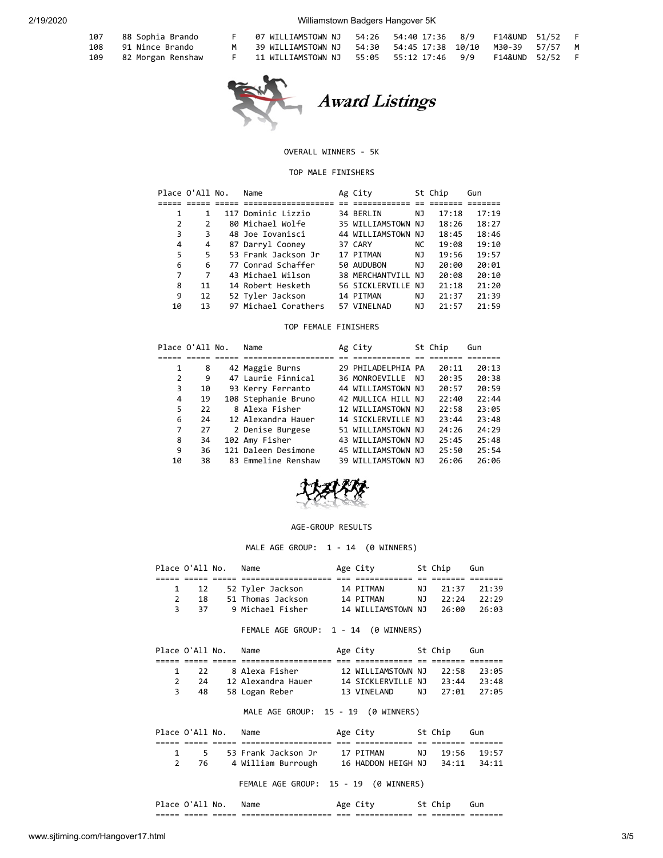107 88 Sophia Brando<br>108 91 Nince Brando

108 91 Nince Brando<br>109 82 Morgan Rensha 82 Morgan Renshaw

2/19/2020 Williamstown Badgers Hangover 5K

|          | 07 WILLIAMSTOWN NJ   54:26   54:40 17:36   8/9    F14&UND   51/52    F     |  |  |  |
|----------|----------------------------------------------------------------------------|--|--|--|
| <b>M</b> | 39 WILLIAMSTOWN NJ    54:30    54:45 17:38   10/10    M30-39    57/57    M |  |  |  |
|          | 11 WILLIAMSTOWN NJ 55:05 55:12 17:46 9/9 F14&UND 52/52 F                   |  |  |  |



## OVERALL WINNERS - 5K

## TOP MALE FINISHERS

| Place O'All No. |               | Name                 | Ag City            |     | St Chip | Gun   |
|-----------------|---------------|----------------------|--------------------|-----|---------|-------|
|                 |               |                      |                    |     |         |       |
|                 |               | 117 Dominic Lizzio   | 34 BERLIN          | ΝJ  | 17:18   | 17:19 |
| 2               | $\mathcal{P}$ | 80 Michael Wolfe     | 35 WILLIAMSTOWN NJ |     | 18:26   | 18:27 |
| 3               | 3             | 48 Joe Iovanisci     | 44 WILLIAMSTOWN NJ |     | 18:45   | 18:46 |
| 4               | 4             | 87 Darryl Cooney     | 37 CARY            | NC. | 19:08   | 19:10 |
| 5               | 5             | 53 Frank Jackson Jr  | 17 PITMAN          | ΝJ  | 19:56   | 19:57 |
| 6               | 6             | 77 Conrad Schaffer   | 50 AUDUBON         | NJ. | 20:00   | 20:01 |
|                 | 7             | 43 Michael Wilson    | 38 MERCHANTVILL NJ |     | 20:08   | 20:10 |
| 8               | 11            | 14 Robert Hesketh    | 56 SICKLERVILLE NJ |     | 21:18   | 21:20 |
| 9               | 12            | 52 Tyler Jackson     | 14 PITMAN          | ΝJ  | 21:37   | 21:39 |
| 10              | 13            | 97 Michael Corathers | 57 VINELNAD        | ΝJ  | 21:57   | 21:59 |

TOP FEMALE FINISHERS

|    | Place O'All No. | Name                | Ag City            |     | St Chip | Gun   |
|----|-----------------|---------------------|--------------------|-----|---------|-------|
|    |                 |                     |                    |     |         |       |
| 1  | 8               | 42 Maggie Burns     | 29 PHILADELPHIA PA |     | 20:11   | 20:13 |
| 2  | 9               | 47 Laurie Finnical  | 36 MONROEVILLE     | NJ. | 20:35   | 20:38 |
| 3  | 10              | 93 Kerry Ferranto   | 44 WILLIAMSTOWN NJ |     | 20:57   | 20:59 |
| 4  | 19              | 108 Stephanie Bruno | 42 MULLICA HILL NJ |     | 22:40   | 22:44 |
| 5  | 22              | 8 Alexa Fisher      | 12 WILLIAMSTOWN NJ |     | 22:58   | 23:05 |
| 6  | 24              | 12 Alexandra Hauer  | 14 SICKLERVILLE NJ |     | 23:44   | 23:48 |
| 7  | 27              | 2 Denise Burgese    | 51 WILLIAMSTOWN NJ |     | 24:26   | 24:29 |
| 8  | 34              | 102 Amy Fisher      | 43 WILLIAMSTOWN NJ |     | 25:45   | 25:48 |
| 9  | 36              | 121 Daleen Desimone | 45 WILLIAMSTOWN NJ |     | 25:50   | 25:54 |
| 10 | 38              | 83 Emmeline Renshaw | 39 WILLIAMSTOWN NJ |     | 26:06   | 26:06 |



## AGE-GROUP RESULTS

MALE AGE GROUP: 1 - 14 (0 WINNERS)

|                | Place O'All No. |       | Name                                        | Age City                 |    | St Chip  | Gun   |
|----------------|-----------------|-------|---------------------------------------------|--------------------------|----|----------|-------|
|                |                 |       |                                             |                          |    |          |       |
| 1              | 12              |       | 52 Tyler Jackson                            | 14 PITMAN                | NJ | 21:37    | 21:39 |
| $\mathcal{P}$  | 18              |       | 51 Thomas Jackson                           | 14 PITMAN                | NJ | 22:24    | 22:29 |
| 3              |                 | 37    | 9 Michael Fisher                            | 14 WILLIAMSTOWN NJ 26:00 |    |          | 26:03 |
|                |                 |       | FEMALE AGE GROUP: 1 - 14 (0 WINNERS)        |                          |    |          |       |
|                | Place O'All No. |       | Name                                        | Age City 5t Chip         |    |          | Gun   |
|                | :== ===== ===== |       | =================== === =============       |                          |    |          |       |
| 1              | 22              |       | 8 Alexa Fisher                              | 12 WILLIAMSTOWN NJ       |    | 22:58    | 23:05 |
| $\overline{2}$ |                 |       | 24 12 Alexandra Hauer                       | 14 SICKLERVILLE NJ 23:44 |    |          | 23:48 |
| 3              | 48              |       | 58 Logan Reber                              | 13 VINELAND              |    | NJ 27:01 | 27:05 |
|                |                 |       | MALE AGE GROUP: 15 - 19 (0 WINNERS)         |                          |    |          |       |
|                | Place O'All No. |       | Name                                        | Age City 5t Chip         |    |          | Gun   |
|                | === ===== ===== |       |                                             |                          |    |          |       |
| $\mathbf{1}$   |                 | $5 -$ | 53 Frank Jackson Jr                         | 17 PITMAN                | NJ | 19:56    | 19:57 |
| $\overline{2}$ | 76              |       | 4 William Burrough 16 HADDON HEIGH NJ 34:11 |                          |    |          | 34:11 |
|                |                 |       | FEMALE AGE GROUP: 15 - 19 (0 WINNERS)       |                          |    |          |       |

| Place O'Al |       | NO.   | Name                 |         |              |     |          |         |
|------------|-------|-------|----------------------|---------|--------------|-----|----------|---------|
| _____      | _____ | _____ | -------------------- | $- - -$ | ____________ | $-$ | -------  | ------- |
| -----      | ----- | ----- | -------------------- | ___     | ____________ | --  | -------- | _______ |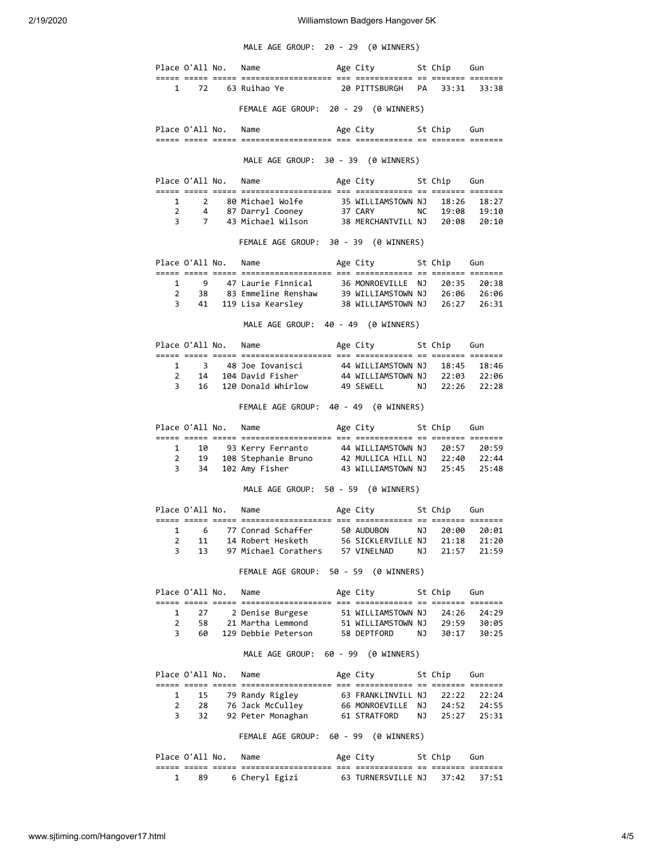MALE AGE GROUP: 20 - 29 (0 WINNERS)

|                |                 | Place O'All No.      | Name                                                                                                                     | Age City 5t Chip Gun                                         |           |             |             |
|----------------|-----------------|----------------------|--------------------------------------------------------------------------------------------------------------------------|--------------------------------------------------------------|-----------|-------------|-------------|
| $\mathbf{1}$   |                 |                      | 72 63 Ruihao Ye                                                                                                          | 20 PITTSBURGH PA                                             |           |             | 33:31 33:38 |
|                |                 |                      | FEMALE AGE GROUP: 20 - 29 (0 WINNERS)                                                                                    |                                                              |           |             |             |
|                |                 | Place O'All No.      | Name                                                                                                                     | Age City 5t Chip Gun                                         |           |             |             |
|                |                 |                      |                                                                                                                          |                                                              |           |             |             |
|                |                 |                      | MALE AGE GROUP: 30 - 39 (0 WINNERS)                                                                                      |                                                              |           |             |             |
|                |                 | Place O'All No.      | Name                                                                                                                     | Age City 5t Chip Gun                                         |           |             |             |
|                |                 |                      |                                                                                                                          | 35 WILLIAMSTOWN NJ                                           |           |             | 18:26 18:27 |
|                | $2 \t 4$        |                      | 87 Darryl Cooney 37 CARY                                                                                                 |                                                              |           |             |             |
| $\overline{3}$ |                 |                      |                                                                                                                          |                                                              |           |             |             |
|                |                 |                      | FEMALE AGE GROUP: 30 - 39 (0 WINNERS)                                                                                    |                                                              |           |             |             |
|                |                 |                      | Place O'All No. Name                                                                                                     | Age City 5t Chip Gun                                         |           |             |             |
| $\mathbf{1}$   |                 |                      |                                                                                                                          |                                                              |           |             |             |
| $\overline{2}$ |                 |                      |                                                                                                                          |                                                              |           |             |             |
|                | $3 \qquad 41$   |                      |                                                                                                                          |                                                              |           |             |             |
|                |                 |                      | MALE AGE GROUP: 40 - 49 (0 WINNERS)                                                                                      |                                                              |           |             |             |
|                |                 | Place O'All No. Name |                                                                                                                          | Age City 5t Chip Gun                                         |           |             |             |
|                |                 |                      |                                                                                                                          |                                                              |           |             |             |
|                |                 |                      | 1 3 48 Joe Iovanisci 44 WILLIAMSTOWN NJ 18:45 18:46<br>2 14 104 David Fisher 44 WILLIAMSTOWN NJ 22:03 22:06              |                                                              |           |             |             |
|                | 3 16            |                      | 120 Donald Whirlow 49 SEWELL NJ                                                                                          |                                                              |           |             | 22:26 22:28 |
|                |                 |                      | FEMALE AGE GROUP: 40 - 49 (0 WINNERS)                                                                                    |                                                              |           |             |             |
|                |                 |                      | Place O'All No. Name                                                                                                     | Age City 5t Chip Gun                                         |           |             |             |
|                | $\mathbf{1}$    |                      | 10 93 Kerry Ferranto                                                                                                     | 44 WILLIAMSTOWN NJ 20:57 20:59                               |           |             |             |
|                | $\overline{2}$  |                      | 19  108  Stephanie Bruno  42  MULLICA  HILL  NJ  22:40  22:44<br>34  102  Amy Fisher  43  WILLIAMSTOWN  NJ  25:45  25:48 |                                                              |           |             |             |
| 3              |                 |                      |                                                                                                                          |                                                              |           |             |             |
|                |                 |                      | MALE AGE GROUP: 50 - 59 (0 WINNERS)                                                                                      |                                                              |           |             |             |
|                |                 |                      | Place O'All No. Name                                                                                                     | Age City 5t Chip Gun                                         |           |             |             |
| $\mathbf{1}$   |                 |                      | 6 77 Conrad Schaffer                                                                                                     | 50 AUDUBON                                                   | <b>NJ</b> |             | 20:00 20:01 |
| $\overline{2}$ | 11              |                      | 14 Robert Hesketh                                                                                                        | 56 SICKLERVILLE NJ                                           |           | 21:18       | 21:20       |
| 3              | 13              |                      | 97 Michael Corathers                                                                                                     | 57 VINELNAD                                                  | ΝJ        | 21:57       | 21:59       |
|                |                 |                      | FEMALE AGE GROUP: 50 - 59 (0 WINNERS)                                                                                    |                                                              |           |             |             |
|                | Place O'All No. |                      | Name                                                                                                                     | Age City 5t Chip Gun                                         |           |             |             |
| 1              |                 | 27 —                 | 2 Denise Burgese                                                                                                         | 51 WILLIAMSTOWN NJ                                           |           | 24:26       | 24:29       |
| $\overline{2}$ |                 | 58                   | 21 Martha Lemmond                                                                                                        | 51 WILLIAMSTOWN NJ 29:59 30:05                               |           |             |             |
| 3              | 60              |                      | 129 Debbie Peterson 58 DEPTFORD                                                                                          |                                                              |           | NJ 30:17    | 30:25       |
|                |                 |                      | MALE AGE GROUP: 60 - 99 (0 WINNERS)                                                                                      |                                                              |           |             |             |
|                | Place O'All No. |                      | Name                                                                                                                     | Age City                                                     |           | St Chip Gun |             |
| 1              |                 |                      | 15 79 Randy Rigley 63 FRANKLINVILL NJ                                                                                    |                                                              |           |             | 22:22 22:24 |
| $\overline{2}$ |                 |                      | 28 76 Jack McCulley                                                                                                      | 66 MONROEVILLE NJ                                            |           |             |             |
| 3              |                 | 32                   | 92 Peter Monaghan                                                                                                        | 66 MONROEVILLE NJ 24:52 24:55<br>61 STRATFORD NJ 25:27 25:31 |           |             |             |
|                |                 |                      | FEMALE AGE GROUP: 60 - 99 (0 WINNERS)                                                                                    |                                                              |           |             |             |
|                | Place O'All No. |                      | Name                                                                                                                     | Age City                                                     |           | St Chip     | Gun         |
|                |                 |                      |                                                                                                                          |                                                              |           |             |             |
| 1              | 89              |                      | 6 Cheryl Egizi                                                                                                           | 63 TURNERSVILLE NJ 37:42                                     |           |             | 37:51       |